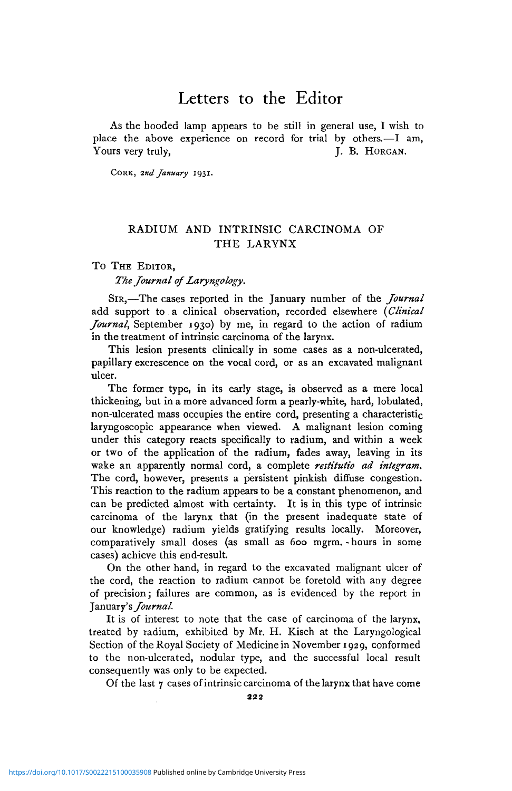## Letters to the Editor

As the hooded lamp appears to be still in general use, I wish to place the above experience on record for trial by others.—I am, Yours very truly, T. B. HORGAN.

CORK, *2nd January* 1931.

## RADIUM AND INTRINSIC CARCINOMA OF THE LARYNX

To THE EDITOR,

*The Journal of Laryngology.*

SIR,—The cases reported in the January number of the *Journal* add support to a clinical observation, recorded elsewhere *{Clinical Journal,* September 1930) by me, in regard to the action of radium in the treatment of intrinsic carcinoma of the larynx.

This lesion presents clinically in some cases as a non-ulcerated, papillary excrescence on the vocal cord, or as an excavated malignant ulcer.

The former type, in its early stage, is observed as a mere local thickening, but in a more advanced form a pearly-white, hard, lobulated, non-ulcerated mass occupies the entire cord, presenting a characteristic laryngoscopic appearance when viewed. A malignant lesion coming under this category reacts specifically to radium, and within a week or two of the application of the radium, fades away, leaving in its wake an apparently normal cord, a complete *restitutio ad integrant.* The cord, however, presents a persistent pinkish diffuse congestion. This reaction to the radium appears to be a constant phenomenon, and can be predicted almost with certainty. It is in this type of intrinsic carcinoma of the larynx that (in the present inadequate state of our knowledge) radium yields gratifying results locally. Moreover, comparatively small doses (as small as 600 mgrm. - hours in some cases) achieve this end-result.

On the other hand, in regard to the excavated malignant ulcer of the cord, the reaction to radium cannot be foretold with any degree of precision; failures are common, as is evidenced by the report in January's *Journal.*

It is of interest to note that the case of carcinoma of the larynx, treated by radium, exhibited by Mr. H. Kisch at the Laryngological Section of the Royal Society of Medicine in November 1929, conformed to the non-ulcerated, nodular type, and the successful local result consequently was only to be expected.

Of the last 7 cases of intrinsic carcinoma of the larynx that have come

**222**